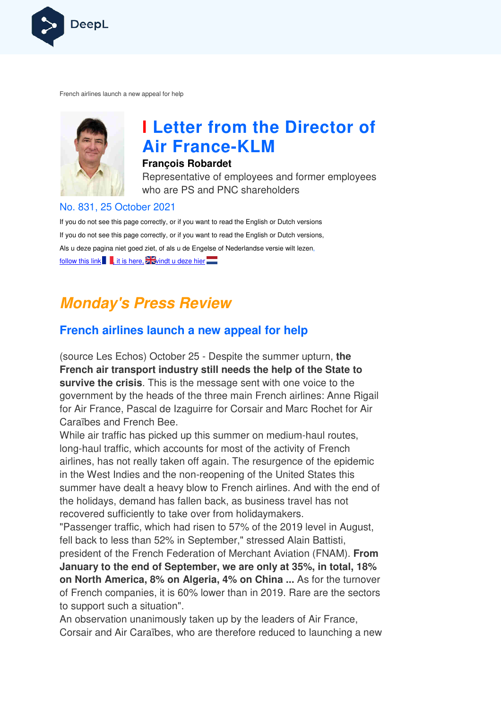

French airlines launch a new appeal for help



# **I Letter from the Director of Air France France-KLM**

#### **François Robardet**

Representative of employees and former employees who are PS and PNC shareholders

#### No. 831, 25 October 2021

If you do not see this page correctly, or if you want to read the English or Dutch versions If you do not see this page correctly, or if you want to read the English or Dutch versions, Als u deze pagina niet goed ziet, of als u de Engelse of Nederlandse versie wilt lezen, follow this link  $\Box$ , it is here,  $\Box$  windt u deze hier

# **Monday's Press Review**

#### **French airlines launch a new appeal for help**

(source Les Echos) October 25 - Despite the summer upturn, **the French air transport industry still needs the help of the State to survive the crisis**. This is the message sent with one voice to the government by the heads of the three main French airlines: Anne Rigail for Air France, Pascal de Izaguirre for Corsair and Marc Rochet for Air Caraïbes and French Bee.

While air traffic has picked up this summer on medium-haul routes, long-haul traffic, which accounts for most of the activity of French airlines, has not really taken off again. The resurgence of the epidemic in the West Indies and the non-reopening of the United States this summer have dealt a heavy blow to French airlines. And with the end of the holidays, demand has fallen back, as business travel has not recovered sufficiently to take over from holidaymakers. haul traffic, which accounts for most of the activity of French<br>es, has not really taken off again. The resurgence of the epide<br>› West Indies and the non-reopening of the United States this

"Passenger traffic, which had risen to 57% of the 2019 level in August, fell back to less than 52% in September," stressed Alain Battisti, president of the French Federation of Merchant Aviation (FNAM). **From January to the end of September, we are only at 35%, in total, 18%**  on North America, 8% on Algeria, 4% on China ... As for the turnover of French companies, it is 60% lower than in 2019. Rare are the sectors to support such a situation".

An observation unanimously taken up by the leaders of Air France, Corsair and Air Caraïbes, who are therefore reduced to launching a new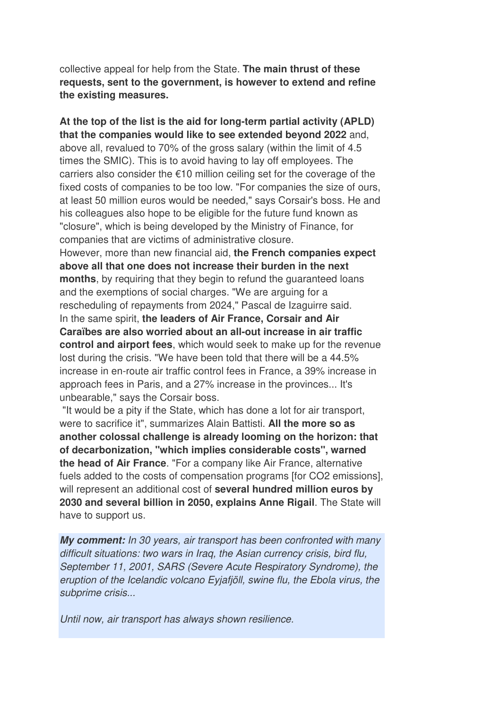collective appeal for help from the State. **The main thrust of these requests, sent to the government, is however to extend and refine the existing measures.** 

**At the top of the list is the aid for long-term partial activity (APLD) that the companies would like to see extended beyond 2022** and, above all, revalued to 70% of the gross salary (within the limit of 4.5 times the SMIC). This is to avoid having to lay off employees. The carriers also consider the €10 million ceiling set for the coverage of the fixed costs of companies to be too low. "For companies the size of ours, at least 50 million euros would be needed," says Corsair's boss. He and his colleagues also hope to be eligible for the future fund known as "closure", which is being developed by the Ministry of Finance, for companies that are victims of administrative closure. However, more than new financial aid, **the French companies expect above all that one does not increase their burden in the next months**, by requiring that they begin to refund the guaranteed loans and the exemptions of social charges. "We are arguing for a rescheduling of repayments from 2024," Pascal de Izaguirre said. In the same spirit, **the leaders of Air France, Corsair and Air Caraïbes are also worried about an all-out increase in air traffic control and airport fees**, which would seek to make up for the revenue lost during the crisis. "We have been told that there will be a 44.5% increase in en-route air traffic control fees in France, a 39% increase in approach fees in Paris, and a 27% increase in the provinces... It's unbearable," says the Corsair boss.

 "It would be a pity if the State, which has done a lot for air transport, were to sacrifice it", summarizes Alain Battisti. **All the more so as another colossal challenge is already looming on the horizon: that of decarbonization, "which implies considerable costs", warned the head of Air France**. "For a company like Air France, alternative fuels added to the costs of compensation programs [for CO2 emissions], will represent an additional cost of **several hundred million euros by 2030 and several billion in 2050, explains Anne Rigail**. The State will have to support us.

**My comment:** In 30 years, air transport has been confronted with many difficult situations: two wars in Iraq, the Asian currency crisis, bird flu, September 11, 2001, SARS (Severe Acute Respiratory Syndrome), the eruption of the Icelandic volcano Eyjafjöll, swine flu, the Ebola virus, the subprime crisis...

Until now, air transport has always shown resilience.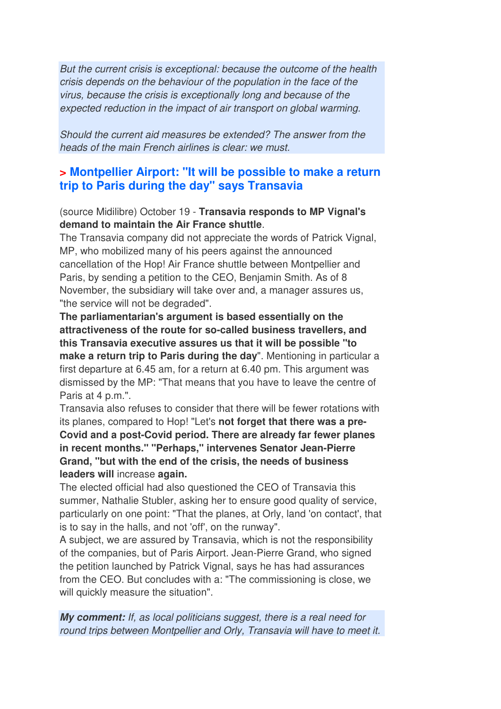But the current crisis is exceptional: because the outcome of the health crisis depends on the behaviour of the population in the face of the virus, because the crisis is exceptionally long and because of the expected reduction in the impact of air transport on global warming.

Should the current aid measures be extended? The answer from the heads of the main French airlines is clear: we must.

#### **> Montpellier Airport: "It will be possible to make a return trip to Paris during the day" says Transavia**

(source Midilibre) October 19 - **Transavia responds to MP Vignal's demand to maintain the Air France shuttle**.

The Transavia company did not appreciate the words of Patrick Vignal, MP, who mobilized many of his peers against the announced cancellation of the Hop! Air France shuttle between Montpellier and Paris, by sending a petition to the CEO, Benjamin Smith. As of 8 November, the subsidiary will take over and, a manager assures us, "the service will not be degraded".

**The parliamentarian's argument is based essentially on the attractiveness of the route for so-called business travellers, and this Transavia executive assures us that it will be possible "to make a return trip to Paris during the day**". Mentioning in particular a first departure at 6.45 am, for a return at 6.40 pm. This argument was dismissed by the MP: "That means that you have to leave the centre of Paris at 4 p.m.".

Transavia also refuses to consider that there will be fewer rotations with its planes, compared to Hop! "Let's **not forget that there was a pre-Covid and a post-Covid period. There are already far fewer planes in recent months." "Perhaps," intervenes Senator Jean-Pierre Grand, "but with the end of the crisis, the needs of business leaders will** increase **again.** 

The elected official had also questioned the CEO of Transavia this summer, Nathalie Stubler, asking her to ensure good quality of service, particularly on one point: "That the planes, at Orly, land 'on contact', that is to say in the halls, and not 'off', on the runway".

A subject, we are assured by Transavia, which is not the responsibility of the companies, but of Paris Airport. Jean-Pierre Grand, who signed the petition launched by Patrick Vignal, says he has had assurances from the CEO. But concludes with a: "The commissioning is close, we will quickly measure the situation".

**My comment:** If, as local politicians suggest, there is a real need for round trips between Montpellier and Orly, Transavia will have to meet it.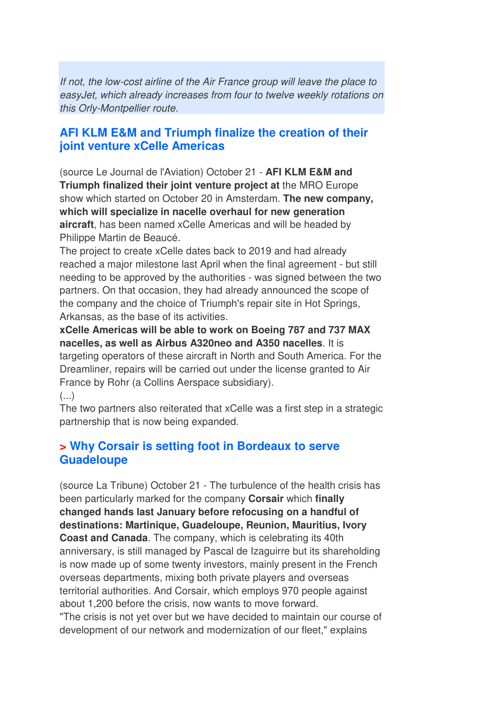If not, the low-cost airline of the Air France group will leave the place to easyJet, which already increases from four to twelve weekly rotations on this Orly-Montpellier route.

#### **AFI KLM E&M and Triumph finalize the creation of their joint venture xCelle Americas**

(source Le Journal de l'Aviation) October 21 - **AFI KLM E&M and Triumph finalized their joint venture project at** the MRO Europe show which started on October 20 in Amsterdam. **The new company, which will specialize in nacelle overhaul for new generation aircraft**, has been named xCelle Americas and will be headed by Philippe Martin de Beaucé.

The project to create xCelle dates back to 2019 and had already reached a major milestone last April when the final agreement - but still needing to be approved by the authorities - was signed between the two partners. On that occasion, they had already announced the scope of the company and the choice of Triumph's repair site in Hot Springs, Arkansas, as the base of its activities.

**xCelle Americas will be able to work on Boeing 787 and 737 MAX nacelles, as well as Airbus A320neo and A350 nacelles**. It is targeting operators of these aircraft in North and South America. For the Dreamliner, repairs will be carried out under the license granted to Air France by Rohr (a Collins Aerspace subsidiary).

(...)

The two partners also reiterated that xCelle was a first step in a strategic partnership that is now being expanded.

#### **> Why Corsair is setting foot in Bordeaux to serve Guadeloupe**

(source La Tribune) October 21 - The turbulence of the health crisis has been particularly marked for the company **Corsair** which **finally changed hands last January before refocusing on a handful of destinations: Martinique, Guadeloupe, Reunion, Mauritius, Ivory Coast and Canada**. The company, which is celebrating its 40th anniversary, is still managed by Pascal de Izaguirre but its shareholding is now made up of some twenty investors, mainly present in the French overseas departments, mixing both private players and overseas territorial authorities. And Corsair, which employs 970 people against about 1,200 before the crisis, now wants to move forward. "The crisis is not yet over but we have decided to maintain our course of development of our network and modernization of our fleet," explains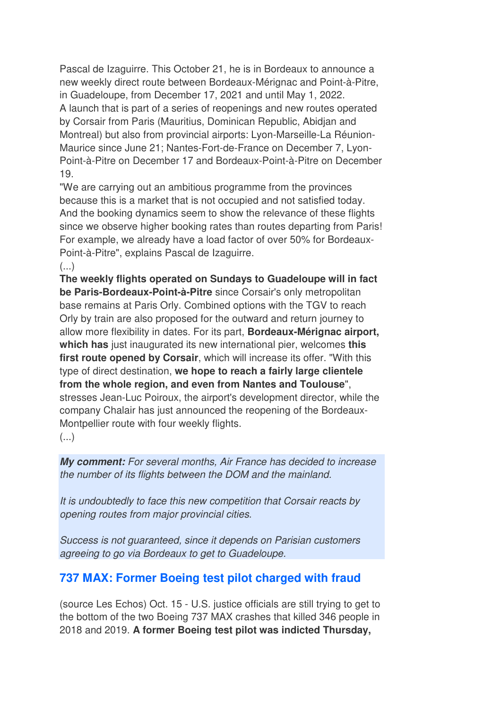Pascal de Izaguirre. This October 21, he is in Bordeaux to announce a new weekly direct route between Bordeaux-Mérignac and Point-à-Pitre, in Guadeloupe, from December 17, 2021 and until May 1, 2022. A launch that is part of a series of reopenings and new routes operated by Corsair from Paris (Mauritius, Dominican Republic, Abidjan and Montreal) but also from provincial airports: Lyon-Marseille-La Réunion-Maurice since June 21; Nantes-Fort-de-France on December 7, Lyon-Point-à-Pitre on December 17 and Bordeaux-Point-à-Pitre on December 19.

"We are carrying out an ambitious programme from the provinces because this is a market that is not occupied and not satisfied today. And the booking dynamics seem to show the relevance of these flights since we observe higher booking rates than routes departing from Paris! For example, we already have a load factor of over 50% for Bordeaux-Point-à-Pitre", explains Pascal de Izaguirre.  $\left( \ldots \right)$ 

**The weekly flights operated on Sundays to Guadeloupe will in fact be Paris-Bordeaux-Point-à-Pitre** since Corsair's only metropolitan base remains at Paris Orly. Combined options with the TGV to reach Orly by train are also proposed for the outward and return journey to allow more flexibility in dates. For its part, **Bordeaux-Mérignac airport, which has** just inaugurated its new international pier, welcomes **this first route opened by Corsair**, which will increase its offer. "With this type of direct destination, **we hope to reach a fairly large clientele from the whole region, and even from Nantes and Toulouse**", stresses Jean-Luc Poiroux, the airport's development director, while the company Chalair has just announced the reopening of the Bordeaux-Montpellier route with four weekly flights.

(...)

**My comment:** For several months, Air France has decided to increase the number of its flights between the DOM and the mainland.

It is undoubtedly to face this new competition that Corsair reacts by opening routes from major provincial cities.

Success is not guaranteed, since it depends on Parisian customers agreeing to go via Bordeaux to get to Guadeloupe.

### **737 MAX: Former Boeing test pilot charged with fraud**

(source Les Echos) Oct. 15 - U.S. justice officials are still trying to get to the bottom of the two Boeing 737 MAX crashes that killed 346 people in 2018 and 2019. **A former Boeing test pilot was indicted Thursday,**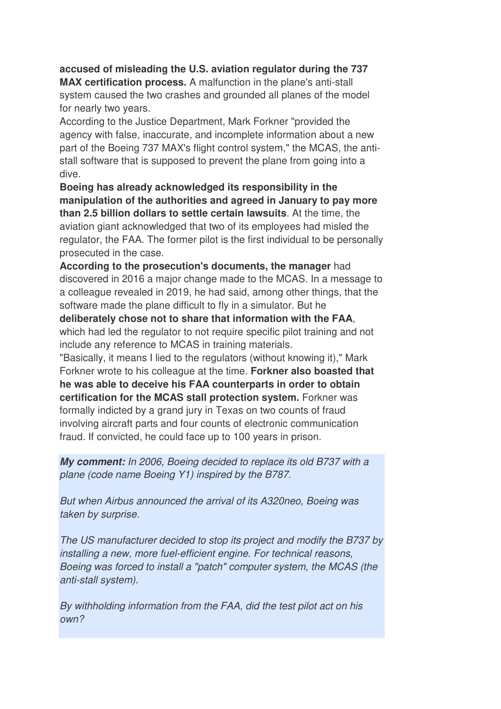#### **accused of misleading the U.S. aviation regulator during the 737 MAX certification process.** A malfunction in the plane's anti-stall system caused the two crashes and grounded all planes of the model for nearly two years.

According to the Justice Department, Mark Forkner "provided the agency with false, inaccurate, and incomplete information about a new part of the Boeing 737 MAX's flight control system," the MCAS, the antistall software that is supposed to prevent the plane from going into a dive.

**Boeing has already acknowledged its responsibility in the manipulation of the authorities and agreed in January to pay more than 2.5 billion dollars to settle certain lawsuits**. At the time, the aviation giant acknowledged that two of its employees had misled the regulator, the FAA. The former pilot is the first individual to be personally prosecuted in the case.

**According to the prosecution's documents, the manager** had discovered in 2016 a major change made to the MCAS. In a message to a colleague revealed in 2019, he had said, among other things, that the software made the plane difficult to fly in a simulator. But he

**deliberately chose not to share that information with the FAA**, which had led the regulator to not require specific pilot training and not include any reference to MCAS in training materials.

"Basically, it means I lied to the regulators (without knowing it)," Mark Forkner wrote to his colleague at the time. **Forkner also boasted that he was able to deceive his FAA counterparts in order to obtain certification for the MCAS stall protection system.** Forkner was formally indicted by a grand jury in Texas on two counts of fraud involving aircraft parts and four counts of electronic communication fraud. If convicted, he could face up to 100 years in prison.

**My comment:** In 2006, Boeing decided to replace its old B737 with a plane (code name Boeing Y1) inspired by the B787.

But when Airbus announced the arrival of its A320neo, Boeing was taken by surprise.

The US manufacturer decided to stop its project and modify the B737 by installing a new, more fuel-efficient engine. For technical reasons, Boeing was forced to install a "patch" computer system, the MCAS (the anti-stall system).

By withholding information from the FAA, did the test pilot act on his own?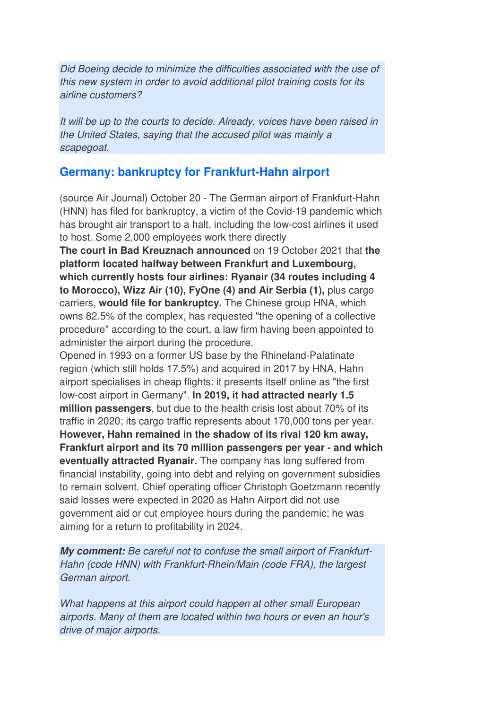Did Boeing decide to minimize the difficulties associated with the use of this new system in order to avoid additional pilot training costs for its airline customers?

It will be up to the courts to decide. Already, voices have been raised in the United States, saying that the accused pilot was mainly a scapegoat.

#### **Germany: bankruptcy for Frankfurt-Hahn airport**

(source Air Journal) October 20 - The German airport of Frankfurt-Hahn (HNN) has filed for bankruptcy, a victim of the Covid-19 pandemic which has brought air transport to a halt, including the low-cost airlines it used to host. Some 2,000 employees work there directly

**The court in Bad Kreuznach announced** on 19 October 2021 that **the platform located halfway between Frankfurt and Luxembourg, which currently hosts four airlines: Ryanair (34 routes including 4 to Morocco), Wizz Air (10), FyOne (4) and Air Serbia (1),** plus cargo carriers, **would file for bankruptcy.** The Chinese group HNA, which owns 82.5% of the complex, has requested "the opening of a collective procedure" according to the court, a law firm having been appointed to administer the airport during the procedure.

Opened in 1993 on a former US base by the Rhineland-Palatinate region (which still holds 17.5%) and acquired in 2017 by HNA, Hahn airport specialises in cheap flights: it presents itself online as "the first low-cost airport in Germany". **In 2019, it had attracted nearly 1.5 million passengers**, but due to the health crisis lost about 70% of its traffic in 2020; its cargo traffic represents about 170,000 tons per year. **However, Hahn remained in the shadow of its rival 120 km away, Frankfurt airport and its 70 million passengers per year - and which eventually attracted Ryanair.** The company has long suffered from financial instability, going into debt and relying on government subsidies to remain solvent. Chief operating officer Christoph Goetzmann recently said losses were expected in 2020 as Hahn Airport did not use government aid or cut employee hours during the pandemic; he was aiming for a return to profitability in 2024.

**My comment:** Be careful not to confuse the small airport of Frankfurt-Hahn (code HNN) with Frankfurt-Rhein/Main (code FRA), the largest German airport.

What happens at this airport could happen at other small European airports. Many of them are located within two hours or even an hour's drive of major airports.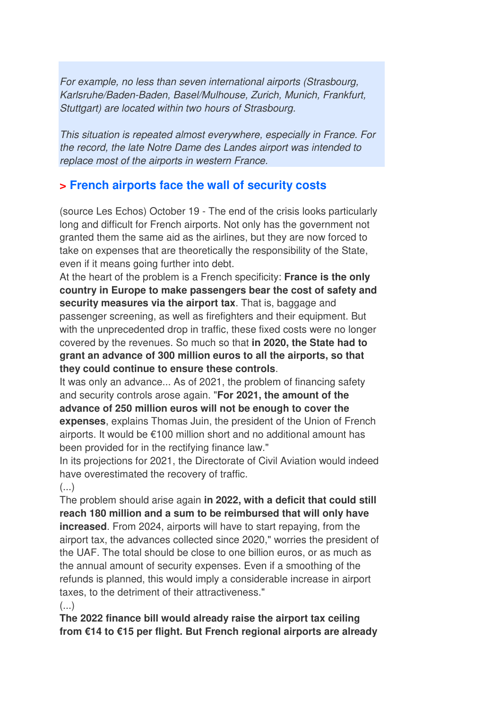For example, no less than seven international airports (Strasbourg, Karlsruhe/Baden-Baden, Basel/Mulhouse, Zurich, Munich, Frankfurt, Stuttgart) are located within two hours of Strasbourg.

This situation is repeated almost everywhere, especially in France. For the record, the late Notre Dame des Landes airport was intended to replace most of the airports in western France.

## **> French airports face the wall of security costs**

(source Les Echos) October 19 - The end of the crisis looks particularly long and difficult for French airports. Not only has the government not granted them the same aid as the airlines, but they are now forced to take on expenses that are theoretically the responsibility of the State, even if it means going further into debt.

At the heart of the problem is a French specificity: **France is the only country in Europe to make passengers bear the cost of safety and security measures via the airport tax**. That is, baggage and passenger screening, as well as firefighters and their equipment. But with the unprecedented drop in traffic, these fixed costs were no longer covered by the revenues. So much so that **in 2020, the State had to grant an advance of 300 million euros to all the airports, so that they could continue to ensure these controls**.

It was only an advance... As of 2021, the problem of financing safety and security controls arose again. "**For 2021, the amount of the advance of 250 million euros will not be enough to cover the expenses**, explains Thomas Juin, the president of the Union of French airports. It would be €100 million short and no additional amount has been provided for in the rectifying finance law."

In its projections for 2021, the Directorate of Civil Aviation would indeed have overestimated the recovery of traffic.

 $(\ldots)$ 

The problem should arise again **in 2022, with a deficit that could still reach 180 million and a sum to be reimbursed that will only have increased**. From 2024, airports will have to start repaying, from the airport tax, the advances collected since 2020," worries the president of the UAF. The total should be close to one billion euros, or as much as the annual amount of security expenses. Even if a smoothing of the refunds is planned, this would imply a considerable increase in airport taxes, to the detriment of their attractiveness."  $(\ldots)$ 

**The 2022 finance bill would already raise the airport tax ceiling from €14 to €15 per flight. But French regional airports are already**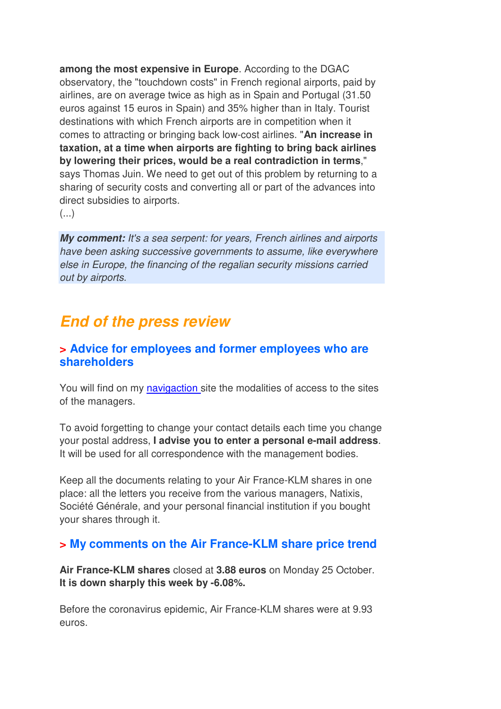**among the most expensive in Europe**. According to the DGAC observatory, the "touchdown costs" in French regional airports, paid by airlines, are on average twice as high as in Spain and Portugal (31.50 euros against 15 euros in Spain) and 35% higher than in Italy. Tourist destinations with which French airports are in competition when it comes to attracting or bringing back low-cost airlines. "**An increase in taxation, at a time when airports are fighting to bring back airlines by lowering their prices, would be a real contradiction in terms**," says Thomas Juin. We need to get out of this problem by returning to a sharing of security costs and converting all or part of the advances into direct subsidies to airports.

(...)

**My comment:** It's a sea serpent: for years, French airlines and airports have been asking successive governments to assume, like everywhere else in Europe, the financing of the regalian security missions carried out by airports.

## **End of the press review**

#### **> Advice for employees and former employees who are shareholders**

You will find on my navigaction site the modalities of access to the sites of the managers.

To avoid forgetting to change your contact details each time you change your postal address, **I advise you to enter a personal e-mail address**. It will be used for all correspondence with the management bodies.

Keep all the documents relating to your Air France-KLM shares in one place: all the letters you receive from the various managers, Natixis, Société Générale, and your personal financial institution if you bought your shares through it.

#### **> My comments on the Air France-KLM share price trend**

**Air France-KLM shares** closed at **3.88 euros** on Monday 25 October. **It is down sharply this week by -6.08%.** 

Before the coronavirus epidemic, Air France-KLM shares were at 9.93 euros.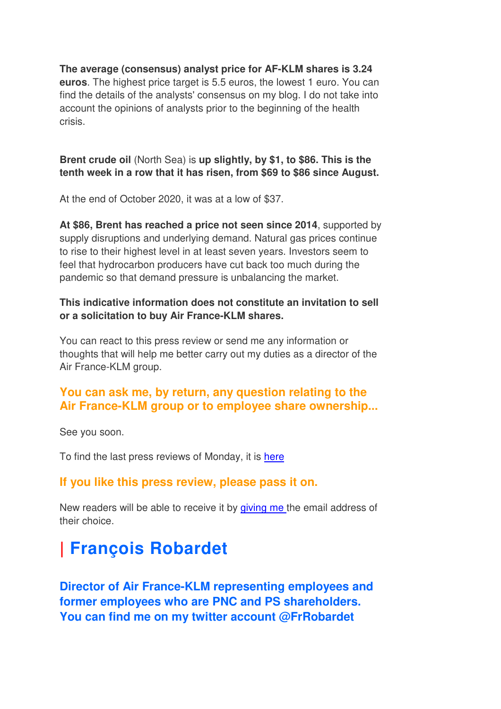**The average (consensus) analyst price for AF-KLM shares is 3.24 euros**. The highest price target is 5.5 euros, the lowest 1 euro. You can find the details of the analysts' consensus on my blog. I do not take into account the opinions of analysts prior to the beginning of the health crisis.

#### **Brent crude oil** (North Sea) is **up slightly, by \$1, to \$86. This is the tenth week in a row that it has risen, from \$69 to \$86 since August.**

At the end of October 2020, it was at a low of \$37.

**At \$86, Brent has reached a price not seen since 2014**, supported by supply disruptions and underlying demand. Natural gas prices continue to rise to their highest level in at least seven years. Investors seem to feel that hydrocarbon producers have cut back too much during the pandemic so that demand pressure is unbalancing the market.

#### **This indicative information does not constitute an invitation to sell or a solicitation to buy Air France-KLM shares.**

You can react to this press review or send me any information or thoughts that will help me better carry out my duties as a director of the Air France-KLM group.

### **You can ask me, by return, any question relating to the Air France-KLM group or to employee share ownership...**

See you soon.

To find the last press reviews of Monday, it is here

#### **If you like this press review, please pass it on.**

New readers will be able to receive it by giving me the email address of their choice.

# **| François Robardet**

**Director of Air France-KLM representing employees and former employees who are PNC and PS shareholders. You can find me on my twitter account @FrRobardet**